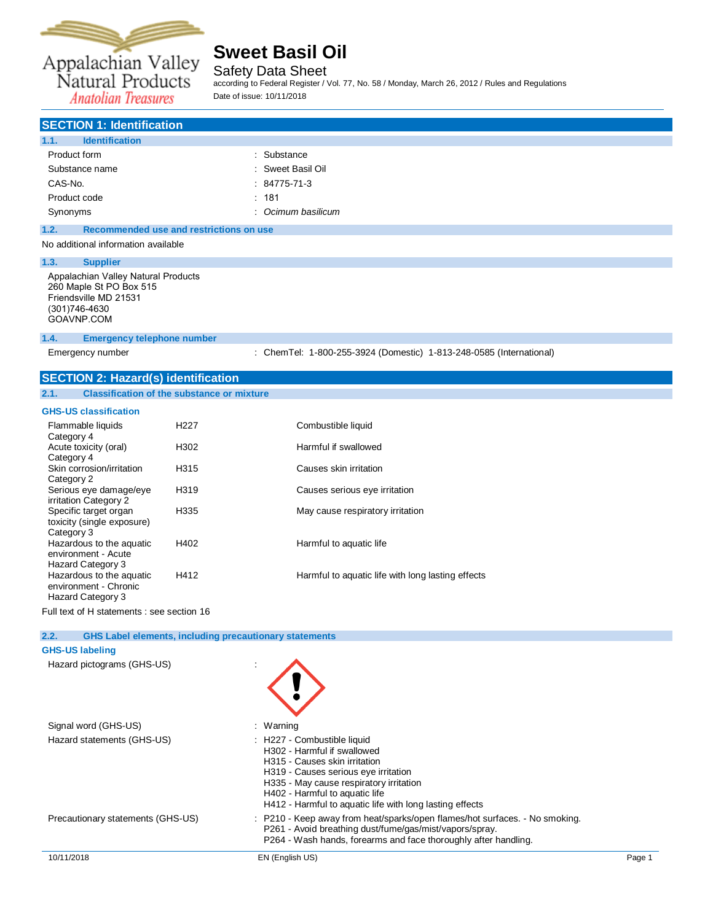

Safety Data Sheet according to Federal Register / Vol. 77, No. 58 / Monday, March 26, 2012 / Rules and Regulations Date of issue: 10/11/2018

**Anatolian Treasures** 

| <b>SECTION 1: Identification</b>                                                                                  |                    |
|-------------------------------------------------------------------------------------------------------------------|--------------------|
| 1.1.<br><b>Identification</b>                                                                                     |                    |
| Product form                                                                                                      | : Substance        |
| Substance name                                                                                                    | : Sweet Basil Oil  |
| CAS-No.                                                                                                           | $: 84775 - 71 - 3$ |
| Product code                                                                                                      | : 181              |
| Synonyms                                                                                                          | : Ocimum basilicum |
| 1.2.<br>Recommended use and restrictions on use                                                                   |                    |
| No additional information available                                                                               |                    |
| 1.3.<br><b>Supplier</b>                                                                                           |                    |
| Appalachian Valley Natural Products<br>260 Maple St PO Box 515<br>Friendsville MD 21531<br>$(0.01)$ $7.0$ $10.00$ |                    |

(301)746-4630 [GOAVNP.COM](file:///C:/Users/tchipman/AppData/Local/Temp/www.ThePerfumery.com)

## **1.4. Emergency telephone number**

Emergency number : ChemTel: 1-800-255-3924 (Domestic) 1-813-248-0585 (International)

## **SECTION 2: Hazard(s) identification**

| 2.1. | <b>Classification of the substance or mixture</b> |
|------|---------------------------------------------------|
|------|---------------------------------------------------|

### **GHS-US classification**

| Flammable liquids<br>Category 4                                        | H <sub>227</sub> | Combustible liquid                                |
|------------------------------------------------------------------------|------------------|---------------------------------------------------|
| Acute toxicity (oral)<br>Category 4                                    | H302             | Harmful if swallowed                              |
| Skin corrosion/irritation<br>Category 2                                | H315             | Causes skin irritation                            |
| Serious eye damage/eye<br>irritation Category 2                        | H319             | Causes serious eye irritation                     |
| Specific target organ<br>toxicity (single exposure)<br>Category 3      | H335             | May cause respiratory irritation                  |
| Hazardous to the aquatic<br>environment - Acute<br>Hazard Category 3   | H402             | Harmful to aquatic life                           |
| Hazardous to the aquatic<br>environment - Chronic<br>Hazard Category 3 | H412             | Harmful to aquatic life with long lasting effects |

Full text of H statements : see section 16

| 2.2. | <b>GHS Label elements, including precautionary statements</b> |                                                                                                                                                                                                                                                                              |        |
|------|---------------------------------------------------------------|------------------------------------------------------------------------------------------------------------------------------------------------------------------------------------------------------------------------------------------------------------------------------|--------|
|      | <b>GHS-US labeling</b>                                        |                                                                                                                                                                                                                                                                              |        |
|      | Hazard pictograms (GHS-US)                                    |                                                                                                                                                                                                                                                                              |        |
|      | Signal word (GHS-US)                                          | : Warning                                                                                                                                                                                                                                                                    |        |
|      | Hazard statements (GHS-US)                                    | : H227 - Combustible liquid<br>H302 - Harmful if swallowed<br>H315 - Causes skin irritation<br>H319 - Causes serious eye irritation<br>H335 - May cause respiratory irritation<br>H402 - Harmful to aquatic life<br>H412 - Harmful to aquatic life with long lasting effects |        |
|      | Precautionary statements (GHS-US)                             | : P210 - Keep away from heat/sparks/open flames/hot surfaces. - No smoking.<br>P261 - Avoid breathing dust/fume/gas/mist/vapors/spray.<br>P264 - Wash hands, forearms and face thoroughly after handling.                                                                    |        |
|      | 10/11/2018                                                    | EN (English US)                                                                                                                                                                                                                                                              | Page 1 |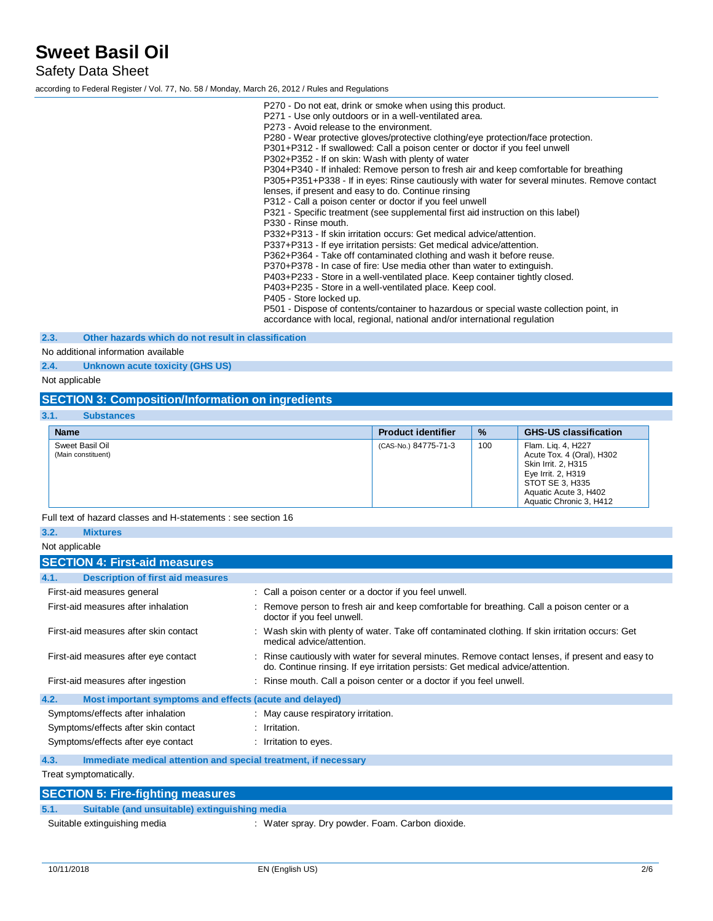Safety Data Sheet

according to Federal Register / Vol. 77, No. 58 / Monday, March 26, 2012 / Rules and Regulations

P270 - Do not eat, drink or smoke when using this product. P271 - Use only outdoors or in a well-ventilated area. P273 - Avoid release to the environment. P280 - Wear protective gloves/protective clothing/eye protection/face protection. P301+P312 - If swallowed: Call a poison center or doctor if you feel unwell P302+P352 - If on skin: Wash with plenty of water P304+P340 - If inhaled: Remove person to fresh air and keep comfortable for breathing P305+P351+P338 - If in eyes: Rinse cautiously with water for several minutes. Remove contact lenses, if present and easy to do. Continue rinsing P312 - Call a poison center or doctor if you feel unwell P321 - Specific treatment (see supplemental first aid instruction on this label) P330 - Rinse mouth. P332+P313 - If skin irritation occurs: Get medical advice/attention. P337+P313 - If eye irritation persists: Get medical advice/attention. P362+P364 - Take off contaminated clothing and wash it before reuse. P370+P378 - In case of fire: Use media other than water to extinguish. P403+P233 - Store in a well-ventilated place. Keep container tightly closed. P403+P235 - Store in a well-ventilated place. Keep cool. P405 - Store locked up. P501 - Dispose of contents/container to hazardous or special waste collection point, in accordance with local, regional, national and/or international regulation

**2.3. Other hazards which do not result in classification**

No additional information available

**2.4. Unknown acute toxicity (GHS US)**

Not applicable

## **SECTION 3: Composition/Information on ingredients**

| 3.1.<br><b>Substances</b>             |                           |      |                                                                                                                                                                     |
|---------------------------------------|---------------------------|------|---------------------------------------------------------------------------------------------------------------------------------------------------------------------|
| <b>Name</b>                           | <b>Product identifier</b> | $\%$ | <b>GHS-US classification</b>                                                                                                                                        |
| Sweet Basil Oil<br>(Main constituent) | (CAS-No.) 84775-71-3      | 100  | Flam. Lig. 4, H227<br>Acute Tox. 4 (Oral), H302<br>Skin Irrit. 2, H315<br>Eye Irrit. 2, H319<br>STOT SE 3, H335<br>Aquatic Acute 3, H402<br>Aquatic Chronic 3, H412 |

Full text of hazard classes and H-statements : see section 16

| 3.2.<br><b>Mixtures</b>                                                 |                                                                                                                                                                                     |
|-------------------------------------------------------------------------|-------------------------------------------------------------------------------------------------------------------------------------------------------------------------------------|
| Not applicable                                                          |                                                                                                                                                                                     |
| <b>SECTION 4: First-aid measures</b>                                    |                                                                                                                                                                                     |
| <b>Description of first aid measures</b><br>4.1.                        |                                                                                                                                                                                     |
| First-aid measures general                                              | : Call a poison center or a doctor if you feel unwell.                                                                                                                              |
| First-aid measures after inhalation                                     | Remove person to fresh air and keep comfortable for breathing. Call a poison center or a<br>doctor if you feel unwell.                                                              |
| First-aid measures after skin contact                                   | : Wash skin with plenty of water. Take off contaminated clothing. If skin irritation occurs: Get<br>medical advice/attention.                                                       |
| First-aid measures after eye contact                                    | : Rinse cautiously with water for several minutes. Remove contact lenses, if present and easy to<br>do. Continue rinsing. If eye irritation persists: Get medical advice/attention. |
| First-aid measures after ingestion                                      | : Rinse mouth. Call a poison center or a doctor if you feel unwell.                                                                                                                 |
| 4.2.<br>Most important symptoms and effects (acute and delayed)         |                                                                                                                                                                                     |
| Symptoms/effects after inhalation                                       | : May cause respiratory irritation.                                                                                                                                                 |
| Symptoms/effects after skin contact                                     | $:$ Irritation.                                                                                                                                                                     |
| Symptoms/effects after eye contact                                      | : Irritation to eyes.                                                                                                                                                               |
| 4.3.<br>Immediate medical attention and special treatment, if necessary |                                                                                                                                                                                     |
| Treat symptomatically.                                                  |                                                                                                                                                                                     |

**SECTION 5: Fire-fighting measures 5.1. Suitable (and unsuitable) extinguishing media** Suitable extinguishing media : Water spray. Dry powder. Foam. Carbon dioxide.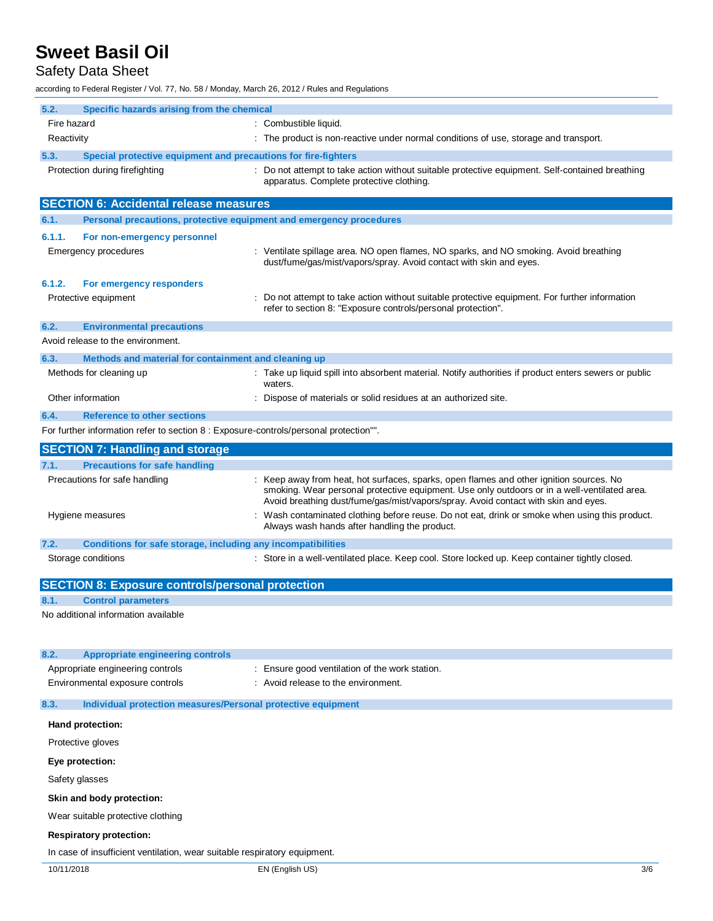## Safety Data Sheet

according to Federal Register / Vol. 77, No. 58 / Monday, March 26, 2012 / Rules and Regulations

| 5.2.<br>Specific hazards arising from the chemical                                    |                                                                                                                                                                                                                                                                             |
|---------------------------------------------------------------------------------------|-----------------------------------------------------------------------------------------------------------------------------------------------------------------------------------------------------------------------------------------------------------------------------|
| Fire hazard                                                                           | : Combustible liquid.                                                                                                                                                                                                                                                       |
| Reactivity                                                                            | : The product is non-reactive under normal conditions of use, storage and transport.                                                                                                                                                                                        |
| 5.3.<br>Special protective equipment and precautions for fire-fighters                |                                                                                                                                                                                                                                                                             |
| Protection during firefighting                                                        | : Do not attempt to take action without suitable protective equipment. Self-contained breathing                                                                                                                                                                             |
|                                                                                       | apparatus. Complete protective clothing.                                                                                                                                                                                                                                    |
| <b>SECTION 6: Accidental release measures</b>                                         |                                                                                                                                                                                                                                                                             |
| 6.1.<br>Personal precautions, protective equipment and emergency procedures           |                                                                                                                                                                                                                                                                             |
| 6.1.1.<br>For non-emergency personnel                                                 |                                                                                                                                                                                                                                                                             |
| Emergency procedures                                                                  | : Ventilate spillage area. NO open flames, NO sparks, and NO smoking. Avoid breathing<br>dust/fume/gas/mist/vapors/spray. Avoid contact with skin and eyes.                                                                                                                 |
| 6.1.2.<br>For emergency responders                                                    |                                                                                                                                                                                                                                                                             |
| Protective equipment                                                                  | : Do not attempt to take action without suitable protective equipment. For further information<br>refer to section 8: "Exposure controls/personal protection".                                                                                                              |
| 6.2.<br><b>Environmental precautions</b>                                              |                                                                                                                                                                                                                                                                             |
| Avoid release to the environment.                                                     |                                                                                                                                                                                                                                                                             |
| 6.3.<br>Methods and material for containment and cleaning up                          |                                                                                                                                                                                                                                                                             |
| Methods for cleaning up                                                               | : Take up liquid spill into absorbent material. Notify authorities if product enters sewers or public<br>waters.                                                                                                                                                            |
| Other information                                                                     | : Dispose of materials or solid residues at an authorized site.                                                                                                                                                                                                             |
| 6.4.<br><b>Reference to other sections</b>                                            |                                                                                                                                                                                                                                                                             |
| For further information refer to section 8 : Exposure-controls/personal protection"". |                                                                                                                                                                                                                                                                             |
| <b>SECTION 7: Handling and storage</b>                                                |                                                                                                                                                                                                                                                                             |
| <b>Precautions for safe handling</b><br>7.1.                                          |                                                                                                                                                                                                                                                                             |
| Precautions for safe handling                                                         | Keep away from heat, hot surfaces, sparks, open flames and other ignition sources. No<br>smoking. Wear personal protective equipment. Use only outdoors or in a well-ventilated area.<br>Avoid breathing dust/fume/gas/mist/vapors/spray. Avoid contact with skin and eyes. |
| Hygiene measures                                                                      | Wash contaminated clothing before reuse. Do not eat, drink or smoke when using this product.<br>Always wash hands after handling the product.                                                                                                                               |
| 7.2.<br>Conditions for safe storage, including any incompatibilities                  |                                                                                                                                                                                                                                                                             |
| Storage conditions                                                                    | : Store in a well-ventilated place. Keep cool. Store locked up. Keep container tightly closed.                                                                                                                                                                              |
| <b>SECTION 8: Exposure controls/personal protection</b>                               |                                                                                                                                                                                                                                                                             |
| 8.1.<br><b>Control parameters</b>                                                     |                                                                                                                                                                                                                                                                             |
| No additional information available                                                   |                                                                                                                                                                                                                                                                             |
|                                                                                       |                                                                                                                                                                                                                                                                             |
| 8.2.<br><b>Appropriate engineering controls</b>                                       |                                                                                                                                                                                                                                                                             |
| Appropriate engineering controls                                                      | Ensure good ventilation of the work station.                                                                                                                                                                                                                                |
| Environmental exposure controls                                                       | Avoid release to the environment.                                                                                                                                                                                                                                           |
| 8.3.<br>Individual protection measures/Personal protective equipment                  |                                                                                                                                                                                                                                                                             |
| Hand protection:                                                                      |                                                                                                                                                                                                                                                                             |
| Protective gloves                                                                     |                                                                                                                                                                                                                                                                             |
| Eye protection:                                                                       |                                                                                                                                                                                                                                                                             |
| Safety glasses                                                                        |                                                                                                                                                                                                                                                                             |
| Skin and body protection:                                                             |                                                                                                                                                                                                                                                                             |
| Wear suitable protective clothing                                                     |                                                                                                                                                                                                                                                                             |
| <b>Respiratory protection:</b>                                                        |                                                                                                                                                                                                                                                                             |
| In case of insufficient ventilation, wear suitable respiratory equipment.             |                                                                                                                                                                                                                                                                             |
| 10/11/2018                                                                            | EN (English US)<br>3/6                                                                                                                                                                                                                                                      |
|                                                                                       |                                                                                                                                                                                                                                                                             |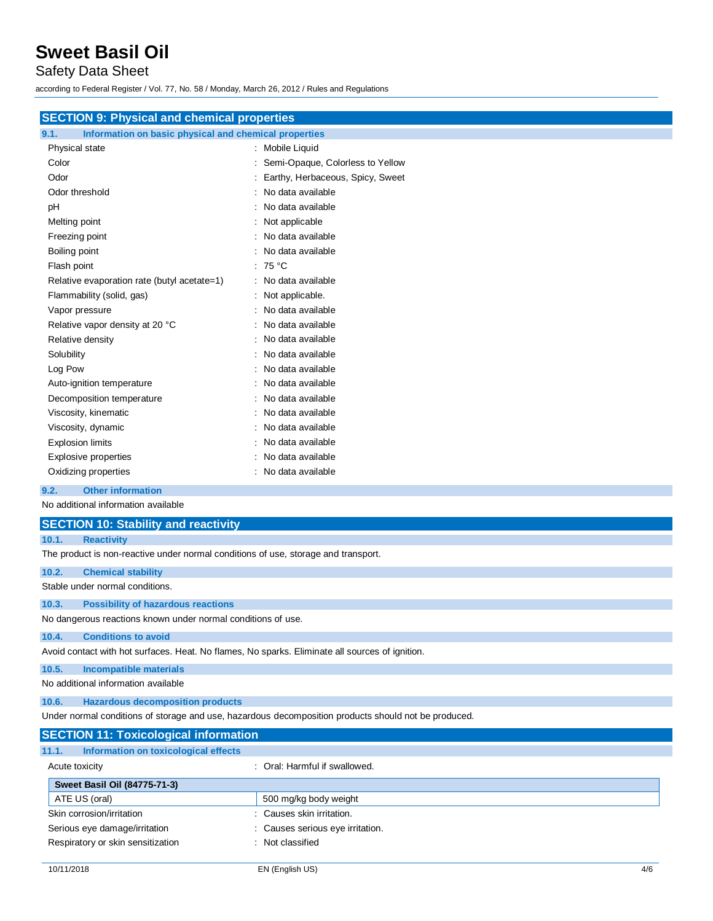## Safety Data Sheet

according to Federal Register / Vol. 77, No. 58 / Monday, March 26, 2012 / Rules and Regulations

## **SECTION 9: Physical and chemical properties**

## **9.1. Information on basic physical and chemical properties**

| Physical state                              | Mobile Liquid                    |
|---------------------------------------------|----------------------------------|
| Color                                       | Semi-Opaque, Colorless to Yellow |
| Odor                                        | Earthy, Herbaceous, Spicy, Sweet |
| Odor threshold                              | No data available                |
| рH                                          | No data available                |
| Melting point                               | Not applicable                   |
| Freezing point                              | No data available                |
| Boiling point                               | No data available                |
| Flash point                                 | : 75 °C                          |
| Relative evaporation rate (butyl acetate=1) | No data available                |
| Flammability (solid, gas)                   | Not applicable.                  |
| Vapor pressure                              | No data available                |
| Relative vapor density at 20 °C             | No data available                |
| Relative density                            | No data available                |
| Solubility                                  | No data available                |
| Log Pow                                     | No data available                |
| Auto-ignition temperature                   | No data available                |
| Decomposition temperature                   | No data available                |
| Viscosity, kinematic                        | No data available                |
| Viscosity, dynamic                          | No data available                |
| <b>Explosion limits</b>                     | No data available                |
| Explosive properties                        | No data available                |
| Oxidizing properties                        | No data available                |
|                                             |                                  |

### **9.2. Other information**

No additional information available

|                                                                                                 | <b>SECTION 10: Stability and reactivity</b>                                                          |  |  |  |
|-------------------------------------------------------------------------------------------------|------------------------------------------------------------------------------------------------------|--|--|--|
| 10.1.                                                                                           | <b>Reactivity</b>                                                                                    |  |  |  |
|                                                                                                 | The product is non-reactive under normal conditions of use, storage and transport.                   |  |  |  |
| 10.2.                                                                                           | <b>Chemical stability</b>                                                                            |  |  |  |
|                                                                                                 | Stable under normal conditions.                                                                      |  |  |  |
| 10.3.                                                                                           | <b>Possibility of hazardous reactions</b>                                                            |  |  |  |
| No dangerous reactions known under normal conditions of use.                                    |                                                                                                      |  |  |  |
| 10.4.                                                                                           | <b>Conditions to avoid</b>                                                                           |  |  |  |
| Avoid contact with hot surfaces. Heat. No flames, No sparks. Eliminate all sources of ignition. |                                                                                                      |  |  |  |
| 10.5.                                                                                           | <b>Incompatible materials</b>                                                                        |  |  |  |
|                                                                                                 | No additional information available                                                                  |  |  |  |
| 10.6.                                                                                           | <b>Hazardous decomposition products</b>                                                              |  |  |  |
|                                                                                                 | Under normal conditions of storage and use, hazardous decomposition products should not be produced. |  |  |  |

| <b>SECTION 11: Toxicological information</b>  |                                  |
|-----------------------------------------------|----------------------------------|
| Information on toxicological effects<br>11.1. |                                  |
| Acute toxicity                                | : Oral: Harmful if swallowed.    |
| <b>Sweet Basil Oil (84775-71-3)</b>           |                                  |
| ATE US (oral)                                 | 500 mg/kg body weight            |
| Skin corrosion/irritation                     | : Causes skin irritation.        |
| Serious eye damage/irritation                 | : Causes serious eye irritation. |
| Respiratory or skin sensitization             | : Not classified                 |
|                                               |                                  |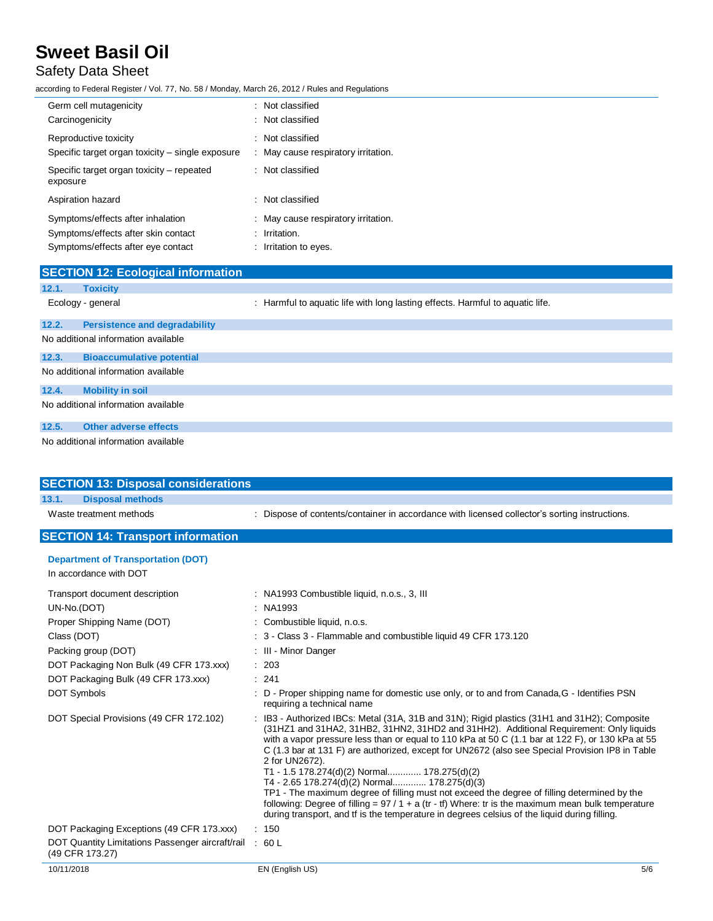## Safety Data Sheet

according to Federal Register / Vol. 77, No. 58 / Monday, March 26, 2012 / Rules and Regulations

| Germ cell mutagenicity<br>Carcinogenicity                                 | : Not classified<br>: Not classified                  |
|---------------------------------------------------------------------------|-------------------------------------------------------|
| Reproductive toxicity<br>Specific target organ toxicity - single exposure | : Not classified<br>May cause respiratory irritation. |
| Specific target organ toxicity – repeated<br>exposure                     | : Not classified                                      |
| Aspiration hazard                                                         | : Not classified                                      |
| Symptoms/effects after inhalation                                         | : May cause respiratory irritation.                   |
| Symptoms/effects after skin contact                                       | $:$ Irritation.                                       |
| Symptoms/effects after eye contact                                        | : Irritation to eyes.                                 |

|       | <b>SECTION 12: Ecological information</b> |                                                                               |
|-------|-------------------------------------------|-------------------------------------------------------------------------------|
| 12.1. | <b>Toxicity</b>                           |                                                                               |
|       | Ecology - general                         | : Harmful to aguatic life with long lasting effects. Harmful to aguatic life. |
| 12.2. | <b>Persistence and degradability</b>      |                                                                               |
|       | No additional information available       |                                                                               |
| 12.3. | <b>Bioaccumulative potential</b>          |                                                                               |
|       | No additional information available       |                                                                               |
| 12.4. | <b>Mobility in soil</b>                   |                                                                               |
|       | No additional information available       |                                                                               |
| 12.5. | <b>Other adverse effects</b>              |                                                                               |
|       | No additional information available       |                                                                               |

| <b>SECTION 13: Disposal considerations</b>                          |       |                                                                                                                                                                                                                                                                                                                                                                                                                                                                                                                                                                                                                                                                                                                                                                                                                   |
|---------------------------------------------------------------------|-------|-------------------------------------------------------------------------------------------------------------------------------------------------------------------------------------------------------------------------------------------------------------------------------------------------------------------------------------------------------------------------------------------------------------------------------------------------------------------------------------------------------------------------------------------------------------------------------------------------------------------------------------------------------------------------------------------------------------------------------------------------------------------------------------------------------------------|
| 13.1.<br><b>Disposal methods</b>                                    |       |                                                                                                                                                                                                                                                                                                                                                                                                                                                                                                                                                                                                                                                                                                                                                                                                                   |
| Waste treatment methods                                             |       | Dispose of contents/container in accordance with licensed collector's sorting instructions.                                                                                                                                                                                                                                                                                                                                                                                                                                                                                                                                                                                                                                                                                                                       |
| <b>SECTION 14: Transport information</b>                            |       |                                                                                                                                                                                                                                                                                                                                                                                                                                                                                                                                                                                                                                                                                                                                                                                                                   |
| <b>Department of Transportation (DOT)</b>                           |       |                                                                                                                                                                                                                                                                                                                                                                                                                                                                                                                                                                                                                                                                                                                                                                                                                   |
| In accordance with DOT                                              |       |                                                                                                                                                                                                                                                                                                                                                                                                                                                                                                                                                                                                                                                                                                                                                                                                                   |
| Transport document description                                      |       | : NA1993 Combustible liquid, n.o.s., 3, III                                                                                                                                                                                                                                                                                                                                                                                                                                                                                                                                                                                                                                                                                                                                                                       |
| UN-No.(DOT)                                                         |       | NA1993                                                                                                                                                                                                                                                                                                                                                                                                                                                                                                                                                                                                                                                                                                                                                                                                            |
| Proper Shipping Name (DOT)                                          |       | Combustible liquid, n.o.s.                                                                                                                                                                                                                                                                                                                                                                                                                                                                                                                                                                                                                                                                                                                                                                                        |
| Class (DOT)                                                         |       | 3 - Class 3 - Flammable and combustible liquid 49 CFR 173.120                                                                                                                                                                                                                                                                                                                                                                                                                                                                                                                                                                                                                                                                                                                                                     |
| Packing group (DOT)                                                 |       | III - Minor Danger                                                                                                                                                                                                                                                                                                                                                                                                                                                                                                                                                                                                                                                                                                                                                                                                |
| DOT Packaging Non Bulk (49 CFR 173.xxx)                             |       | 203                                                                                                                                                                                                                                                                                                                                                                                                                                                                                                                                                                                                                                                                                                                                                                                                               |
| DOT Packaging Bulk (49 CFR 173.xxx)                                 | : 241 |                                                                                                                                                                                                                                                                                                                                                                                                                                                                                                                                                                                                                                                                                                                                                                                                                   |
| <b>DOT Symbols</b>                                                  |       | D - Proper shipping name for domestic use only, or to and from Canada, G - Identifies PSN<br>requiring a technical name                                                                                                                                                                                                                                                                                                                                                                                                                                                                                                                                                                                                                                                                                           |
| DOT Special Provisions (49 CFR 172.102)                             |       | IB3 - Authorized IBCs: Metal (31A, 31B and 31N); Rigid plastics (31H1 and 31H2); Composite<br>(31HZ1 and 31HA2, 31HB2, 31HN2, 31HD2 and 31HH2). Additional Requirement: Only liquids<br>with a vapor pressure less than or equal to 110 kPa at 50 C (1.1 bar at 122 F), or 130 kPa at 55<br>C (1.3 bar at 131 F) are authorized, except for UN2672 (also see Special Provision IP8 in Table<br>2 for UN2672).<br>T1 - 1.5 178.274(d)(2) Normal 178.275(d)(2)<br>T4 - 2.65 178.274(d)(2) Normal 178.275(d)(3)<br>TP1 - The maximum degree of filling must not exceed the degree of filling determined by the<br>following: Degree of filling = $97/1 + a$ (tr - tf) Where: tr is the maximum mean bulk temperature<br>during transport, and tf is the temperature in degrees celsius of the liquid during filling. |
| DOT Packaging Exceptions (49 CFR 173.xxx)                           |       | : 150                                                                                                                                                                                                                                                                                                                                                                                                                                                                                                                                                                                                                                                                                                                                                                                                             |
| DOT Quantity Limitations Passenger aircraft/rail<br>(49 CFR 173.27) |       | 60 L                                                                                                                                                                                                                                                                                                                                                                                                                                                                                                                                                                                                                                                                                                                                                                                                              |
| 10/11/2018                                                          |       | EN (English US)<br>5/6                                                                                                                                                                                                                                                                                                                                                                                                                                                                                                                                                                                                                                                                                                                                                                                            |